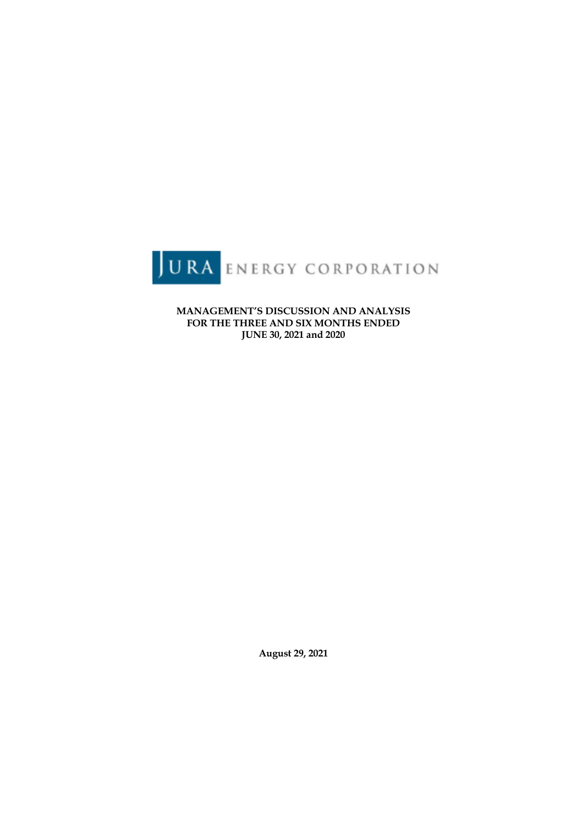

**MANAGEMENT'S DISCUSSION AND ANALYSIS FOR THE THREE AND SIX MONTHS ENDED JUNE 30, 2021 and 2020**

**August 29, 2021**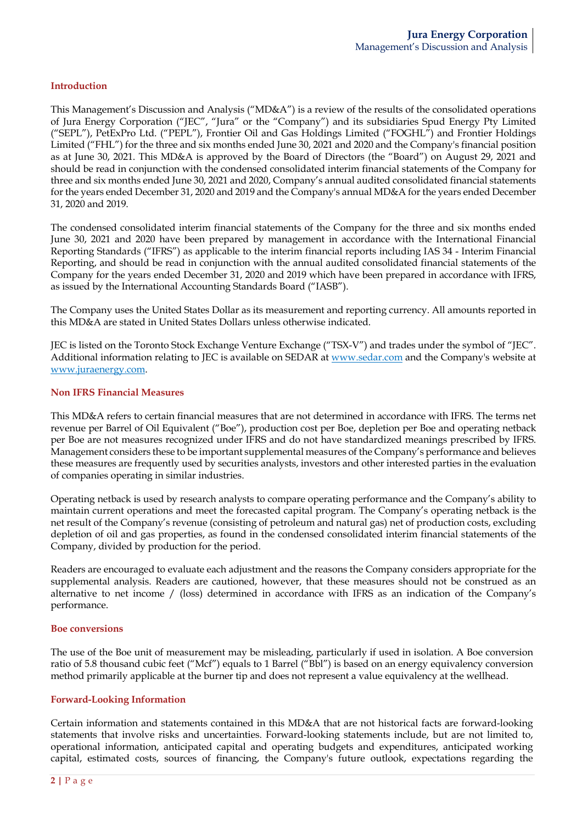### **Introduction**

This Management's Discussion and Analysis ("MD&A") is a review of the results of the consolidated operations of Jura Energy Corporation ("JEC", "Jura" or the "Company") and its subsidiaries Spud Energy Pty Limited ("SEPL"), PetExPro Ltd. ("PEPL"), Frontier Oil and Gas Holdings Limited ("FOGHL") and Frontier Holdings Limited ("FHL") for the three and six months ended June 30, 2021 and 2020 and the Company's financial position as at June 30, 2021. This MD&A is approved by the Board of Directors (the "Board") on August 29, 2021 and should be read in conjunction with the condensed consolidated interim financial statements of the Company for three and six months ended June 30, 2021 and 2020, Company's annual audited consolidated financial statements for the years ended December 31, 2020 and 2019 and the Company's annual MD&A for the years ended December 31, 2020 and 2019.

The condensed consolidated interim financial statements of the Company for the three and six months ended June 30, 2021 and 2020 have been prepared by management in accordance with the International Financial Reporting Standards ("IFRS") as applicable to the interim financial reports including IAS 34 - Interim Financial Reporting, and should be read in conjunction with the annual audited consolidated financial statements of the Company for the years ended December 31, 2020 and 2019 which have been prepared in accordance with IFRS, as issued by the International Accounting Standards Board ("IASB").

The Company uses the United States Dollar as its measurement and reporting currency. All amounts reported in this MD&A are stated in United States Dollars unless otherwise indicated.

JEC is listed on the Toronto Stock Exchange Venture Exchange ("TSX-V") and trades under the symbol of "JEC". Additional information relating to JEC is available on SEDAR at www.sedar.com and the Company's website at www.juraenergy.com.

#### **Non IFRS Financial Measures**

This MD&A refers to certain financial measures that are not determined in accordance with IFRS. The terms net revenue per Barrel of Oil Equivalent ("Boe"), production cost per Boe, depletion per Boe and operating netback per Boe are not measures recognized under IFRS and do not have standardized meanings prescribed by IFRS. Management considers these to be important supplemental measures of the Company's performance and believes these measures are frequently used by securities analysts, investors and other interested parties in the evaluation of companies operating in similar industries.

Operating netback is used by research analysts to compare operating performance and the Company's ability to maintain current operations and meet the forecasted capital program. The Company's operating netback is the net result of the Company's revenue (consisting of petroleum and natural gas) net of production costs, excluding depletion of oil and gas properties, as found in the condensed consolidated interim financial statements of the Company, divided by production for the period.

Readers are encouraged to evaluate each adjustment and the reasons the Company considers appropriate for the supplemental analysis. Readers are cautioned, however, that these measures should not be construed as an alternative to net income / (loss) determined in accordance with IFRS as an indication of the Company's performance.

#### **Boe conversions**

The use of the Boe unit of measurement may be misleading, particularly if used in isolation. A Boe conversion ratio of 5.8 thousand cubic feet ("Mcf") equals to 1 Barrel ("Bbl") is based on an energy equivalency conversion method primarily applicable at the burner tip and does not represent a value equivalency at the wellhead.

#### **Forward-Looking Information**

Certain information and statements contained in this MD&A that are not historical facts are forward-looking statements that involve risks and uncertainties. Forward-looking statements include, but are not limited to, operational information, anticipated capital and operating budgets and expenditures, anticipated working capital, estimated costs, sources of financing, the Company's future outlook, expectations regarding the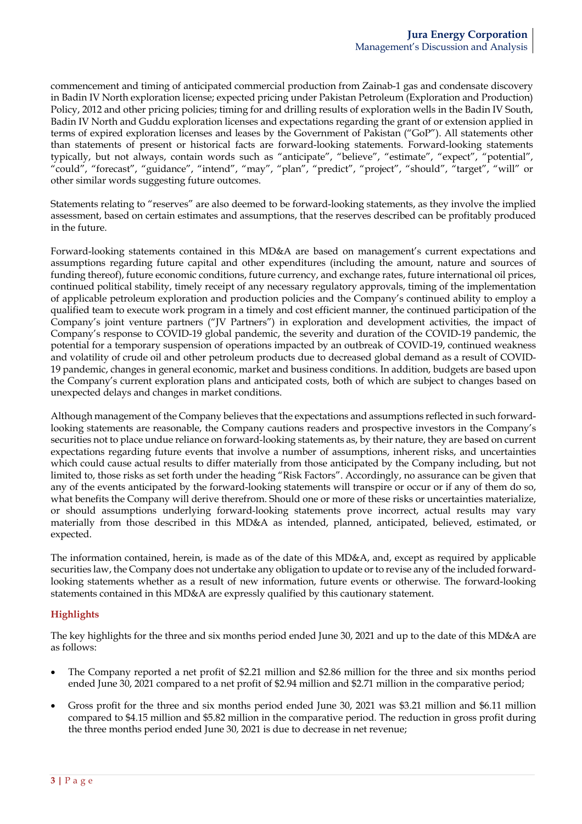commencement and timing of anticipated commercial production from Zainab-1 gas and condensate discovery in Badin IV North exploration license; expected pricing under Pakistan Petroleum (Exploration and Production) Policy, 2012 and other pricing policies; timing for and drilling results of exploration wells in the Badin IV South, Badin IV North and Guddu exploration licenses and expectations regarding the grant of or extension applied in terms of expired exploration licenses and leases by the Government of Pakistan ("GoP"). All statements other than statements of present or historical facts are forward-looking statements. Forward-looking statements typically, but not always, contain words such as "anticipate", "believe", "estimate", "expect", "potential", "could", "forecast", "guidance", "intend", "may", "plan", "predict", "project", "should", "target", "will" or other similar words suggesting future outcomes.

Statements relating to "reserves" are also deemed to be forward-looking statements, as they involve the implied assessment, based on certain estimates and assumptions, that the reserves described can be profitably produced in the future.

Forward-looking statements contained in this MD&A are based on management's current expectations and assumptions regarding future capital and other expenditures (including the amount, nature and sources of funding thereof), future economic conditions, future currency, and exchange rates, future international oil prices, continued political stability, timely receipt of any necessary regulatory approvals, timing of the implementation of applicable petroleum exploration and production policies and the Company's continued ability to employ a qualified team to execute work program in a timely and cost efficient manner, the continued participation of the Company's joint venture partners ("JV Partners") in exploration and development activities, the impact of Company's response to COVID-19 global pandemic, the severity and duration of the COVID-19 pandemic, the potential for a temporary suspension of operations impacted by an outbreak of COVID-19, continued weakness and volatility of crude oil and other petroleum products due to decreased global demand as a result of COVID-19 pandemic, changes in general economic, market and business conditions. In addition, budgets are based upon the Company's current exploration plans and anticipated costs, both of which are subject to changes based on unexpected delays and changes in market conditions.

Although management of the Company believes that the expectations and assumptions reflected in such forwardlooking statements are reasonable, the Company cautions readers and prospective investors in the Company's securities not to place undue reliance on forward-looking statements as, by their nature, they are based on current expectations regarding future events that involve a number of assumptions, inherent risks, and uncertainties which could cause actual results to differ materially from those anticipated by the Company including, but not limited to, those risks as set forth under the heading "Risk Factors". Accordingly, no assurance can be given that any of the events anticipated by the forward-looking statements will transpire or occur or if any of them do so, what benefits the Company will derive therefrom. Should one or more of these risks or uncertainties materialize, or should assumptions underlying forward-looking statements prove incorrect, actual results may vary materially from those described in this MD&A as intended, planned, anticipated, believed, estimated, or expected.

The information contained, herein, is made as of the date of this MD&A, and, except as required by applicable securities law, the Company does not undertake any obligation to update or to revise any of the included forwardlooking statements whether as a result of new information, future events or otherwise. The forward-looking statements contained in this MD&A are expressly qualified by this cautionary statement.

# **Highlights**

The key highlights for the three and six months period ended June 30, 2021 and up to the date of this MD&A are as follows:

- The Company reported a net profit of \$2.21 million and \$2.86 million for the three and six months period ended June 30, 2021 compared to a net profit of \$2.94 million and \$2.71 million in the comparative period;
- Gross profit for the three and six months period ended June 30, 2021 was \$3.21 million and \$6.11 million compared to \$4.15 million and \$5.82 million in the comparative period. The reduction in gross profit during the three months period ended June 30, 2021 is due to decrease in net revenue;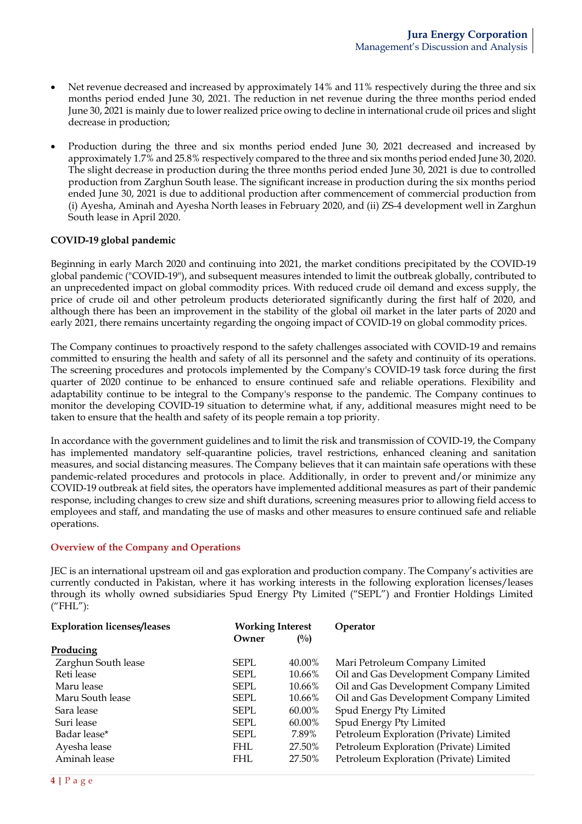- Net revenue decreased and increased by approximately 14% and 11% respectively during the three and six months period ended June 30, 2021. The reduction in net revenue during the three months period ended June 30, 2021 is mainly due to lower realized price owing to decline in international crude oil prices and slight decrease in production;
- Production during the three and six months period ended June 30, 2021 decreased and increased by approximately 1.7% and 25.8% respectively compared to the three and six months period ended June 30, 2020. The slight decrease in production during the three months period ended June 30, 2021 is due to controlled production from Zarghun South lease. The significant increase in production during the six months period ended June 30, 2021 is due to additional production after commencement of commercial production from (i) Ayesha, Aminah and Ayesha North leases in February 2020, and (ii) ZS-4 development well in Zarghun South lease in April 2020.

### **COVID-19 global pandemic**

Beginning in early March 2020 and continuing into 2021, the market conditions precipitated by the COVID-19 global pandemic ("COVID-19"), and subsequent measures intended to limit the outbreak globally, contributed to an unprecedented impact on global commodity prices. With reduced crude oil demand and excess supply, the price of crude oil and other petroleum products deteriorated significantly during the first half of 2020, and although there has been an improvement in the stability of the global oil market in the later parts of 2020 and early 2021, there remains uncertainty regarding the ongoing impact of COVID-19 on global commodity prices.

The Company continues to proactively respond to the safety challenges associated with COVID-19 and remains committed to ensuring the health and safety of all its personnel and the safety and continuity of its operations. The screening procedures and protocols implemented by the Company's COVID-19 task force during the first quarter of 2020 continue to be enhanced to ensure continued safe and reliable operations. Flexibility and adaptability continue to be integral to the Company's response to the pandemic. The Company continues to monitor the developing COVID-19 situation to determine what, if any, additional measures might need to be taken to ensure that the health and safety of its people remain a top priority.

In accordance with the government guidelines and to limit the risk and transmission of COVID-19, the Company has implemented mandatory self-quarantine policies, travel restrictions, enhanced cleaning and sanitation measures, and social distancing measures. The Company believes that it can maintain safe operations with these pandemic-related procedures and protocols in place. Additionally, in order to prevent and/or minimize any COVID-19 outbreak at field sites, the operators have implemented additional measures as part of their pandemic response, including changes to crew size and shift durations, screening measures prior to allowing field access to employees and staff, and mandating the use of masks and other measures to ensure continued safe and reliable operations.

#### **Overview of the Company and Operations**

JEC is an international upstream oil and gas exploration and production company. The Company's activities are currently conducted in Pakistan, where it has working interests in the following exploration licenses/leases through its wholly owned subsidiaries Spud Energy Pty Limited ("SEPL") and Frontier Holdings Limited ("FHL"):

| <b>Exploration licenses/leases</b><br><b>Working Interest</b> |             | Operator       |                                         |
|---------------------------------------------------------------|-------------|----------------|-----------------------------------------|
|                                                               | Owner       | $\binom{0}{0}$ |                                         |
| Producing                                                     |             |                |                                         |
| Zarghun South lease                                           | SEPL.       | 40.00%         | Mari Petroleum Company Limited          |
| Reti lease                                                    | SEPL.       | 10.66%         | Oil and Gas Development Company Limited |
| Maru lease                                                    | SEPL.       | 10.66%         | Oil and Gas Development Company Limited |
| Maru South lease                                              | <b>SEPL</b> | 10.66%         | Oil and Gas Development Company Limited |
| Sara lease                                                    | SEPL.       | 60.00%         | Spud Energy Pty Limited                 |
| Suri lease                                                    | <b>SEPL</b> | 60.00%         | Spud Energy Pty Limited                 |
| Badar lease*                                                  | SEPL.       | 7.89%          | Petroleum Exploration (Private) Limited |
| Ayesha lease                                                  | FHL         | 27.50%         | Petroleum Exploration (Private) Limited |
| Aminah lease                                                  | FHL.        | 27.50%         | Petroleum Exploration (Private) Limited |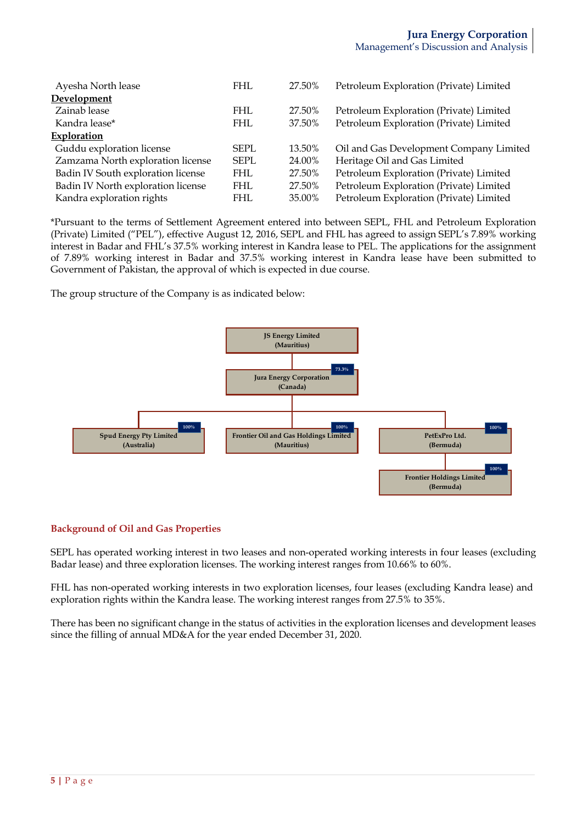| Ayesha North lease                 | <b>FHL</b>  | 27.50% | Petroleum Exploration (Private) Limited |
|------------------------------------|-------------|--------|-----------------------------------------|
| Development                        |             |        |                                         |
| Zainab lease                       | <b>FHL</b>  | 27.50% | Petroleum Exploration (Private) Limited |
| Kandra lease*                      | <b>FHL</b>  | 37.50% | Petroleum Exploration (Private) Limited |
| Exploration                        |             |        |                                         |
| Guddu exploration license          | SEPL.       | 13.50% | Oil and Gas Development Company Limited |
| Zamzama North exploration license  | <b>SEPL</b> | 24.00% | Heritage Oil and Gas Limited            |
| Badin IV South exploration license | <b>FHL</b>  | 27.50% | Petroleum Exploration (Private) Limited |
| Badin IV North exploration license | FHL         | 27.50% | Petroleum Exploration (Private) Limited |
| Kandra exploration rights          | <b>FHL</b>  | 35.00% | Petroleum Exploration (Private) Limited |

\*Pursuant to the terms of Settlement Agreement entered into between SEPL, FHL and Petroleum Exploration (Private) Limited ("PEL"), effective August 12, 2016, SEPL and FHL has agreed to assign SEPL's 7.89% working interest in Badar and FHL's 37.5% working interest in Kandra lease to PEL. The applications for the assignment of 7.89% working interest in Badar and 37.5% working interest in Kandra lease have been submitted to Government of Pakistan, the approval of which is expected in due course.

The group structure of the Company is as indicated below:



### **Background of Oil and Gas Properties**

SEPL has operated working interest in two leases and non-operated working interests in four leases (excluding Badar lease) and three exploration licenses. The working interest ranges from 10.66% to 60%.

FHL has non-operated working interests in two exploration licenses, four leases (excluding Kandra lease) and exploration rights within the Kandra lease. The working interest ranges from 27.5% to 35%.

There has been no significant change in the status of activities in the exploration licenses and development leases since the filling of annual MD&A for the year ended December 31, 2020.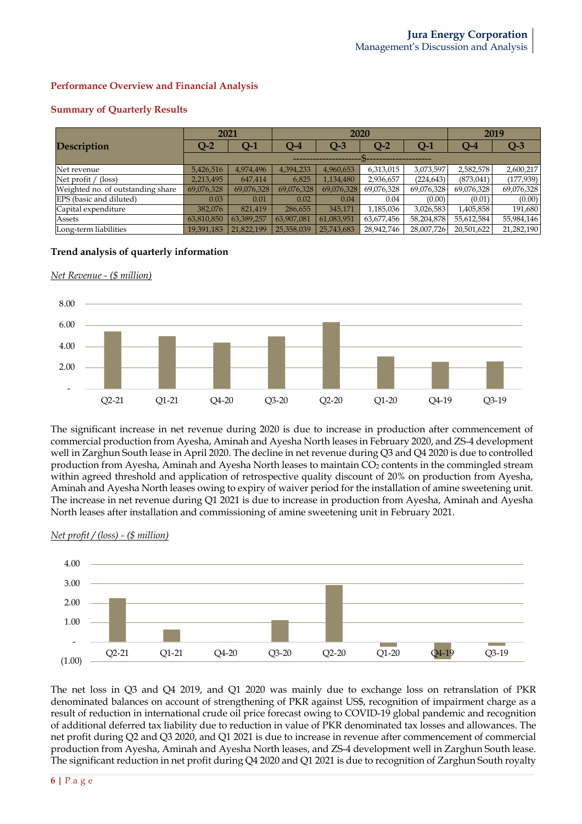### **Performance Overview and Financial Analysis**

### **Summary of Quarterly Results**

|                                   | 2021       |            |            | 2020       |                 |            |            | 2019       |  |  |  |
|-----------------------------------|------------|------------|------------|------------|-----------------|------------|------------|------------|--|--|--|
| <b>Description</b>                | $Q-2$      | Q-1        | $Q-4$      | $Q-3$      | $\mathbf{Q}$ -2 | $Q-1$      | $Q-4$      | $Q-3$      |  |  |  |
|                                   |            |            |            |            |                 |            |            |            |  |  |  |
| Net revenue                       | 5,426,516  | 4,974,496  | 4,394,233  | 4,960,653  | 6,313,015       | 3,073,597  | 2,582,578  | 2,600,217  |  |  |  |
| Net profit $/$ (loss)             | 2,213,495  | 647,414    | 6,825      | 1,134,480  | 2,936,657       | (224, 643) | (873, 041) | (177, 939) |  |  |  |
| Weighted no. of outstanding share | 69,076,328 | 69,076,328 | 69,076,328 | 69,076,328 | 69,076,328      | 69,076,328 | 69,076,328 | 69,076,328 |  |  |  |
| EPS (basic and diluted)           | 0.03       | 0.01       | 0.02       | 0.04       | 0.04            | (0.00)     | (0.01)     | (0.00)     |  |  |  |
| Capital expenditure               | 382.076    | 821,419    | 286,655    | 345,171    | 1,185,036       | 3,026,583  | 1,405,858  | 191,680    |  |  |  |
| Assets                            | 63,810,850 | 63,389,257 | 63,907,081 | 61,083,951 | 63,677,456      | 58,204,878 | 55,612,584 | 55,984,146 |  |  |  |
| Long-term liabilities             | 19,391,183 | 21,822,199 | 25,358,039 | 25,743,683 | 28,942,746      | 28,007,726 | 20,501,622 | 21,282,190 |  |  |  |

### **Trend analysis of quarterly information**

*Net Revenue - (\$ million)*



The significant increase in net revenue during 2020 is due to increase in production after commencement of commercial production from Ayesha, Aminah and Ayesha North leases in February 2020, and ZS-4 development well in Zarghun South lease in April 2020. The decline in net revenue during Q3 and Q4 2020 is due to controlled production from Ayesha, Aminah and Ayesha North leases to maintain CO<sub>2</sub> contents in the commingled stream within agreed threshold and application of retrospective quality discount of 20% on production from Ayesha, Aminah and Ayesha North leases owing to expiry of waiver period for the installation of amine sweetening unit. The increase in net revenue during Q1 2021 is due to increase in production from Ayesha, Aminah and Ayesha North leases after installation and commissioning of amine sweetening unit in February 2021.



#### *Net profit / (loss) - (\$ million)*

The net loss in Q3 and Q4 2019, and Q1 2020 was mainly due to exchange loss on retranslation of PKR denominated balances on account of strengthening of PKR against US\$, recognition of impairment charge as a result of reduction in international crude oil price forecast owing to COVID-19 global pandemic and recognition of additional deferred tax liability due to reduction in value of PKR denominated tax losses and allowances. The net profit during Q2 and Q3 2020, and Q1 2021 is due to increase in revenue after commencement of commercial production from Ayesha, Aminah and Ayesha North leases, and ZS-4 development well in Zarghun South lease. The significant reduction in net profit during Q4 2020 and Q1 2021 is due to recognition of Zarghun South royalty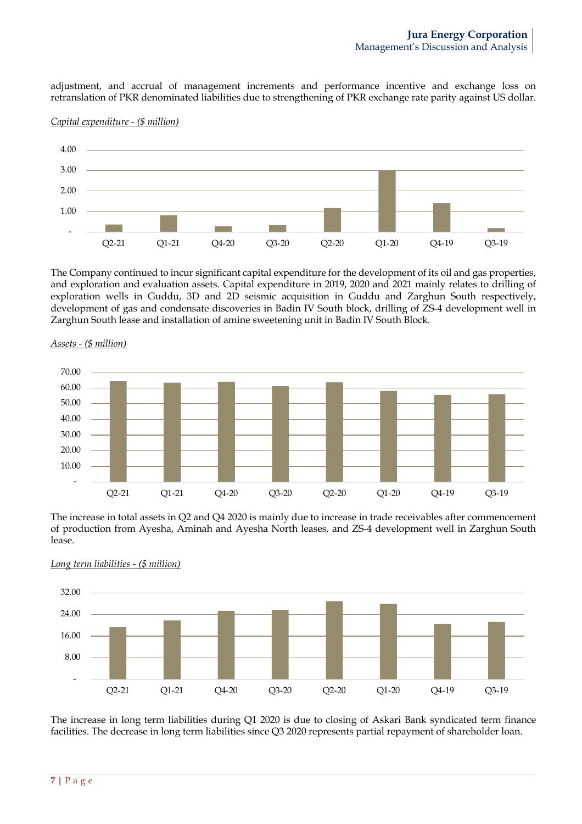adjustment, and accrual of management increments and performance incentive and exchange loss on retranslation of PKR denominated liabilities due to strengthening of PKR exchange rate parity against US dollar.



*Capital expenditure - (\$ million)*

The Company continued to incur significant capital expenditure for the development of its oil and gas properties, and exploration and evaluation assets. Capital expenditure in 2019, 2020 and 2021 mainly relates to drilling of exploration wells in Guddu, 3D and 2D seismic acquisition in Guddu and Zarghun South respectively, development of gas and condensate discoveries in Badin IV South block, drilling of ZS-4 development well in Zarghun South lease and installation of amine sweetening unit in Badin IV South Block.



*Assets - (\$ million)*

The increase in total assets in Q2 and Q4 2020 is mainly due to increase in trade receivables after commencement of production from Ayesha, Aminah and Ayesha North leases, and ZS-4 development well in Zarghun South lease.



*Long term liabilities - (\$ million)*

The increase in long term liabilities during Q1 2020 is due to closing of Askari Bank syndicated term finance facilities. The decrease in long term liabilities since Q3 2020 represents partial repayment of shareholder loan.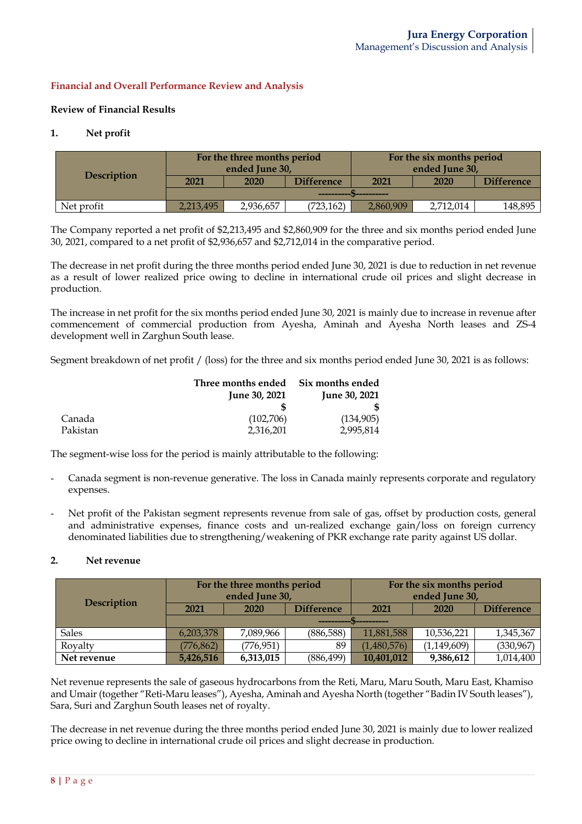### **Financial and Overall Performance Review and Analysis**

### **Review of Financial Results**

### **1. Net profit**

|                    |           | For the three months period |                   | For the six months period |           |                   |  |
|--------------------|-----------|-----------------------------|-------------------|---------------------------|-----------|-------------------|--|
|                    |           | ended June 30,              |                   | ended June 30,            |           |                   |  |
| <b>Description</b> | 2021      | 2020                        | <b>Difference</b> | 2021<br>2020              |           | <b>Difference</b> |  |
|                    |           |                             | -----------       |                           |           |                   |  |
| Net profit         | 2,213,495 | 2,936,657                   | (723, 162)        | 2,860,909                 | 2,712,014 | 148,895           |  |

The Company reported a net profit of \$2,213,495 and \$2,860,909 for the three and six months period ended June 30, 2021, compared to a net profit of \$2,936,657 and \$2,712,014 in the comparative period.

The decrease in net profit during the three months period ended June 30, 2021 is due to reduction in net revenue as a result of lower realized price owing to decline in international crude oil prices and slight decrease in production.

The increase in net profit for the six months period ended June 30, 2021 is mainly due to increase in revenue after commencement of commercial production from Ayesha, Aminah and Ayesha North leases and ZS-4 development well in Zarghun South lease.

Segment breakdown of net profit / (loss) for the three and six months period ended June 30, 2021 is as follows:

|          | Three months ended   | Six months ended     |
|----------|----------------------|----------------------|
|          | <b>June 30, 2021</b> | <b>June 30, 2021</b> |
|          |                      |                      |
| Canada   | (102,706)            | (134,905)            |
| Pakistan | 2,316,201            | 2.995.814            |

The segment-wise loss for the period is mainly attributable to the following:

- Canada segment is non-revenue generative. The loss in Canada mainly represents corporate and regulatory expenses.
- Net profit of the Pakistan segment represents revenue from sale of gas, offset by production costs, general and administrative expenses, finance costs and un-realized exchange gain/loss on foreign currency denominated liabilities due to strengthening/weakening of PKR exchange rate parity against US dollar.

### **2. Net revenue**

|                    |                                                                            | For the three months period<br>ended June 30, |                   | For the six months period<br>ended June 30, |            |                   |  |
|--------------------|----------------------------------------------------------------------------|-----------------------------------------------|-------------------|---------------------------------------------|------------|-------------------|--|
| <b>Description</b> | 2021                                                                       | 2020                                          | <b>Difference</b> | 2021                                        | 2020       | <b>Difference</b> |  |
|                    |                                                                            |                                               |                   |                                             |            |                   |  |
| <b>Sales</b>       | 6,203,378                                                                  | 7,089,966                                     | (886,588)         | 11,881,588                                  | 10,536,221 | 1,345,367         |  |
| Royalty            | (330, 967)<br>(776, 862)<br>(776, 951)<br>(1,149,609)<br>(1,480,576)<br>89 |                                               |                   |                                             |            |                   |  |
| Net revenue        | 5,426,516                                                                  | 6,313,015                                     | (886, 499)        | 10,401,012                                  | 9,386,612  | 1,014,400         |  |

Net revenue represents the sale of gaseous hydrocarbons from the Reti, Maru, Maru South, Maru East, Khamiso and Umair(together "Reti-Maru leases"), Ayesha, Aminah and Ayesha North (together "Badin IV South leases"), Sara, Suri and Zarghun South leases net of royalty.

The decrease in net revenue during the three months period ended June 30, 2021 is mainly due to lower realized price owing to decline in international crude oil prices and slight decrease in production.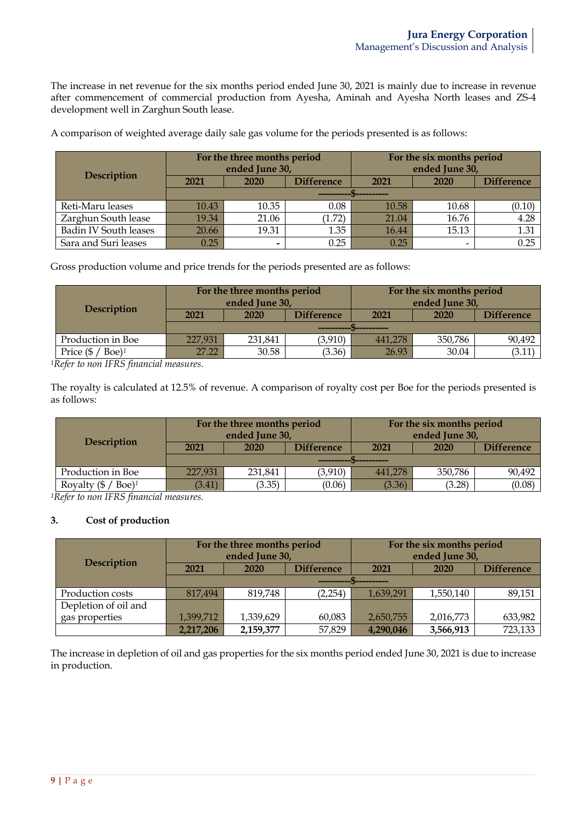The increase in net revenue for the six months period ended June 30, 2021 is mainly due to increase in revenue after commencement of commercial production from Ayesha, Aminah and Ayesha North leases and ZS-4 development well in Zarghun South lease.

| <b>Description</b>           |       | For the three months period<br>ended June 30, |                   | For the six months period<br>ended June 30, |       |                   |  |
|------------------------------|-------|-----------------------------------------------|-------------------|---------------------------------------------|-------|-------------------|--|
|                              | 2021  | 2020                                          | <b>Difference</b> | 2021                                        | 2020  | <b>Difference</b> |  |
|                              |       |                                               |                   |                                             |       |                   |  |
| Reti-Maru leases             | 10.43 | 10.35                                         | 0.08              | 10.58                                       | 10.68 | (0.10)            |  |
| Zarghun South lease          | 19.34 | 21.06                                         | (1.72)            | 21.04                                       | 16.76 | 4.28              |  |
| <b>Badin IV South leases</b> | 20.66 | 19.31                                         | 1.35              | 16.44                                       | 15.13 | 1.31              |  |
| Sara and Suri leases         | 0.25  | -                                             | 0.25              | 0.25                                        | -     | 0.25              |  |

A comparison of weighted average daily sale gas volume for the periods presented is as follows:

Gross production volume and price trends for the periods presented are as follows:

| Description                                 |         | For the three months period<br>ended June 30, |                   |           | For the six months period<br>ended June 30, |                   |
|---------------------------------------------|---------|-----------------------------------------------|-------------------|-----------|---------------------------------------------|-------------------|
|                                             | 2021    | 2020                                          | <b>Difference</b> | 2021      | 2020                                        | <b>Difference</b> |
|                                             |         |                                               |                   | _________ |                                             |                   |
| Production in Boe                           | 227,931 | 231,841                                       | (3,910)           | 441,278   | 350,786                                     | 90,492            |
| Price $(\frac{1}{2})$<br>$Boe$ <sup>1</sup> | 27.22   | 30.58                                         | (3.36)            | 26.93     | 30.04                                       | (3.11)            |

*1Refer to non IFRS financial measures.*

The royalty is calculated at 12.5% of revenue. A comparison of royalty cost per Boe for the periods presented is as follows:

|                                               |         | For the three months period<br>ended June 30, |                   | For the six months period<br>ended June 30, |         |                   |
|-----------------------------------------------|---------|-----------------------------------------------|-------------------|---------------------------------------------|---------|-------------------|
| <b>Description</b>                            | 2021    | 2020                                          | <b>Difference</b> | 2021                                        | 2020    | <b>Difference</b> |
|                                               |         |                                               |                   |                                             |         |                   |
| Production in Boe                             | 227,931 | 231,841                                       | (3,910)           | 441,278                                     | 350,786 | 90,492            |
| Royalty $(\frac{6}{5})$<br>$Boe$ <sup>1</sup> | (3.41)  | (3.35)                                        | (0.06)            | (3.36)                                      | (3.28)  | (0.08)            |

*1Refer to non IFRS financial measures.*

### **3. Cost of production**

|                      | For the three months period<br>ended June 30, |           |                   | For the six months period<br>ended June 30, |           |                   |  |
|----------------------|-----------------------------------------------|-----------|-------------------|---------------------------------------------|-----------|-------------------|--|
| <b>Description</b>   | 2021                                          | 2020      | <b>Difference</b> | 2021                                        | 2020      | <b>Difference</b> |  |
|                      |                                               |           |                   |                                             |           |                   |  |
| Production costs     | 817,494                                       | 819,748   | (2, 254)          | 1,639,291                                   | 1,550,140 | 89,151            |  |
| Depletion of oil and |                                               |           |                   |                                             |           |                   |  |
| gas properties       | 1,399,712                                     | 1,339,629 | 60,083            | 2,650,755                                   | 2,016,773 | 633,982           |  |
|                      | 2,217,206                                     | 2,159,377 | 57,829            | 4,290,046                                   | 3,566,913 | 723,133           |  |

The increase in depletion of oil and gas properties for the six months period ended June 30, 2021 is due to increase in production.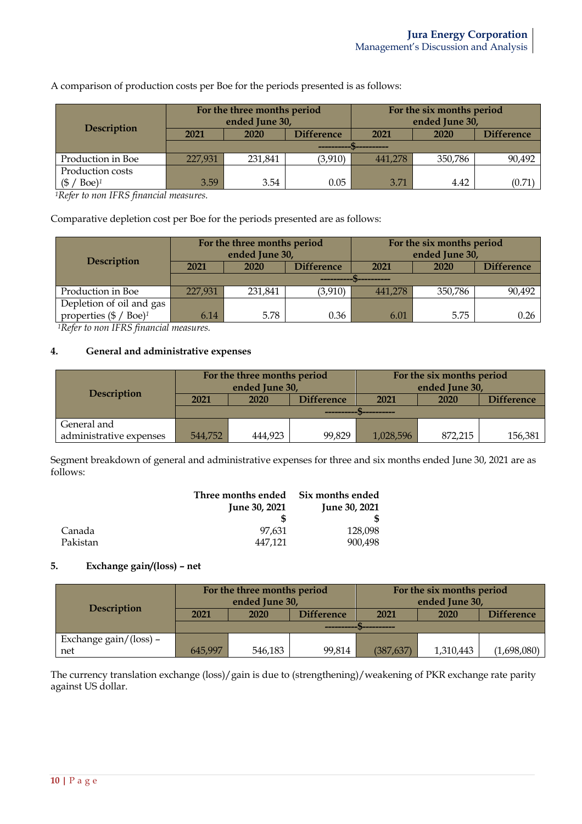| <b>Description</b>               | For the three months period<br>ended June 30, |         |                   | For the six months period<br>ended June 30, |         |                   |
|----------------------------------|-----------------------------------------------|---------|-------------------|---------------------------------------------|---------|-------------------|
|                                  | 2021                                          | 2020    | <b>Difference</b> | 2021                                        | 2020    | <b>Difference</b> |
|                                  |                                               |         |                   |                                             |         |                   |
| Production in Boe                | 227,931                                       | 231.841 | (3,910)           | 441,278                                     | 350,786 | 90,492            |
| Production costs                 |                                               |         |                   |                                             |         |                   |
| $Boe$ <sup>1</sup><br>$\sqrt{5}$ | 3.59                                          | 3.54    | 0.05              | 3.71                                        | 4.42    | (0.71             |

A comparison of production costs per Boe for the periods presented is as follows:

*1Refer to non IFRS financial measures.*

Comparative depletion cost per Boe for the periods presented are as follows:

|                                           |         | For the three months period<br>ended June 30, |                   | For the six months period<br>ended June 30, |         |                   |  |
|-------------------------------------------|---------|-----------------------------------------------|-------------------|---------------------------------------------|---------|-------------------|--|
| Description                               | 2021    | 2020                                          | <b>Difference</b> | 2021                                        | 2020    | <b>Difference</b> |  |
|                                           |         |                                               |                   |                                             |         |                   |  |
| Production in Boe                         | 227,931 | 231,841                                       | (3, 910)          | 441,278                                     | 350,786 | 90,492            |  |
| Depletion of oil and gas                  |         |                                               |                   |                                             |         |                   |  |
| properties $(\frac{6}{5} / \text{Boe})^1$ | 6.14    | 5.78                                          | 0.36              | 6.01                                        | 5.75    | 0.26              |  |

*1Refer to non IFRS financial measures.*

### **4. General and administrative expenses**

|                         | For the three months period<br>ended June 30, |                   |                   | For the six months period<br>ended June 30, |                   |         |
|-------------------------|-----------------------------------------------|-------------------|-------------------|---------------------------------------------|-------------------|---------|
| <b>Description</b>      | 2021                                          | 2020              | <b>Difference</b> | 2021                                        | <b>Difference</b> |         |
|                         |                                               |                   |                   |                                             |                   |         |
| General and             |                                               |                   |                   |                                             |                   |         |
| administrative expenses | 544,752                                       | 99,829<br>444.923 |                   | 1,028,596                                   | 872,215           | 156,381 |

Segment breakdown of general and administrative expenses for three and six months ended June 30, 2021 are as follows:

|          | Three months ended   | Six months ended     |
|----------|----------------------|----------------------|
|          | <b>June 30, 2021</b> | <b>June 30, 2021</b> |
|          |                      |                      |
| Canada   | 97.631               | 128,098              |
| Pakistan | 447.121              | 900.498              |

# **5. Exchange gain/(loss) – net**

|                        | For the three months period<br>ended June 30, |                           |        | For the six months period<br>ended June 30, |           |                   |
|------------------------|-----------------------------------------------|---------------------------|--------|---------------------------------------------|-----------|-------------------|
| Description            | 2021                                          | <b>Difference</b><br>2020 |        | 2021                                        | 2020      | <b>Difference</b> |
|                        |                                               |                           |        |                                             |           |                   |
| Exchange gain/(loss) – |                                               |                           |        |                                             |           |                   |
| net                    | 645.997                                       | 546,183                   | 99,814 | (387, 637)                                  | 1,310,443 | (1,698,080)       |

The currency translation exchange (loss)/gain is due to (strengthening)/weakening of PKR exchange rate parity against US dollar.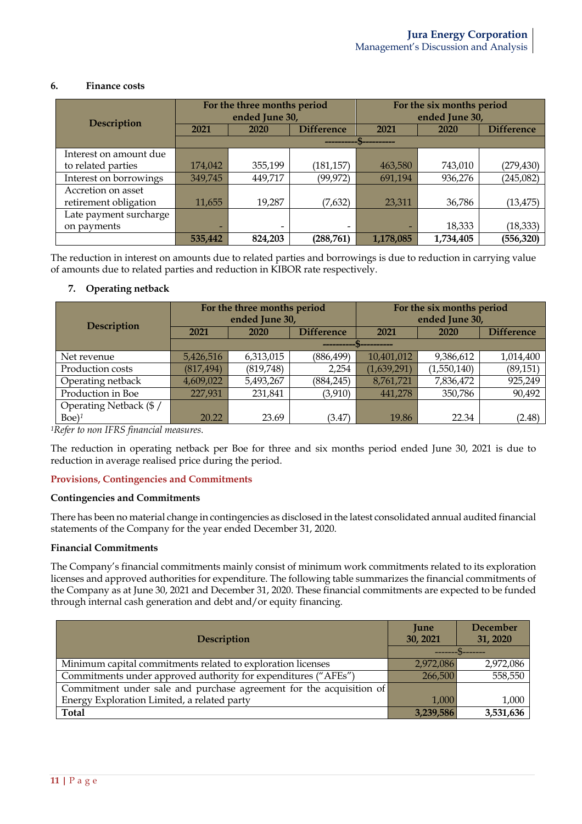### **6. Finance costs**

| <b>Description</b>     | For the three months period<br>ended June 30, |         |                   | For the six months period<br>ended June 30, |           |                   |
|------------------------|-----------------------------------------------|---------|-------------------|---------------------------------------------|-----------|-------------------|
|                        | 2021                                          | 2020    | <b>Difference</b> | 2021                                        | 2020      | <b>Difference</b> |
|                        |                                               |         |                   |                                             |           |                   |
| Interest on amount due |                                               |         |                   |                                             |           |                   |
| to related parties     | 174,042                                       | 355,199 | (181, 157)        | 463,580                                     | 743,010   | (279, 430)        |
| Interest on borrowings | 349,745                                       | 449,717 | (99, 972)         | 691,194                                     | 936,276   | (245,082)         |
| Accretion on asset     |                                               |         |                   |                                             |           |                   |
| retirement obligation  | 11,655                                        | 19,287  | (7,632)           | 23,311                                      | 36,786    | (13, 475)         |
| Late payment surcharge |                                               |         |                   |                                             |           |                   |
| on payments            |                                               |         |                   |                                             | 18,333    | (18, 333)         |
|                        | 535,442                                       | 824,203 | (288, 761)        | 1,178,085                                   | 1,734,405 | (556, 320)        |

The reduction in interest on amounts due to related parties and borrowings is due to reduction in carrying value of amounts due to related parties and reduction in KIBOR rate respectively.

## **7. Operating netback**

|                        | For the three months period |           |                   | For the six months period |             |                   |  |
|------------------------|-----------------------------|-----------|-------------------|---------------------------|-------------|-------------------|--|
| <b>Description</b>     | ended June 30,              |           |                   | ended June 30,            |             |                   |  |
|                        | 2021                        | 2020      | <b>Difference</b> | 2021                      | 2020        | <b>Difference</b> |  |
|                        |                             |           |                   |                           |             |                   |  |
| Net revenue            | 5,426,516                   | 6,313,015 | (886, 499)        | 10,401,012                | 9,386,612   | 1,014,400         |  |
| Production costs       | (817, 494)                  | (819,748) | 2,254             | (1,639,291)               | (1,550,140) | (89, 151)         |  |
| Operating netback      | 4,609,022                   | 5,493,267 | (884, 245)        | 8,761,721                 | 7,836,472   | 925,249           |  |
| Production in Boe      | 227,931                     | 231,841   | (3,910)           | 441,278                   | 350,786     | 90,492            |  |
| Operating Netback (\$/ |                             |           |                   |                           |             |                   |  |
| $Boe$ <sup>1</sup>     | 20.22                       | 23.69     | (3.47)            | 19.86                     | 22.34       | (2.48)            |  |

*1Refer to non IFRS financial measures.*

The reduction in operating netback per Boe for three and six months period ended June 30, 2021 is due to reduction in average realised price during the period.

### **Provisions, Contingencies and Commitments**

### **Contingencies and Commitments**

There has been no material change in contingencies as disclosed in the latest consolidated annual audited financial statements of the Company for the year ended December 31, 2020.

### **Financial Commitments**

The Company's financial commitments mainly consist of minimum work commitments related to its exploration licenses and approved authorities for expenditure. The following table summarizes the financial commitments of the Company as at June 30, 2021 and December 31, 2020. These financial commitments are expected to be funded through internal cash generation and debt and/or equity financing.

| <b>Description</b>                                                  | <b>June</b><br>30, 2021 | December<br>31, 2020 |
|---------------------------------------------------------------------|-------------------------|----------------------|
|                                                                     |                         |                      |
| Minimum capital commitments related to exploration licenses         | 2,972,086               | 2,972,086            |
| Commitments under approved authority for expenditures ("AFEs")      | 266,500                 | 558,550              |
| Commitment under sale and purchase agreement for the acquisition of |                         |                      |
| Energy Exploration Limited, a related party                         | 1.000                   | 1,000                |
| <b>Total</b>                                                        | 3,239,586               | 3,531,636            |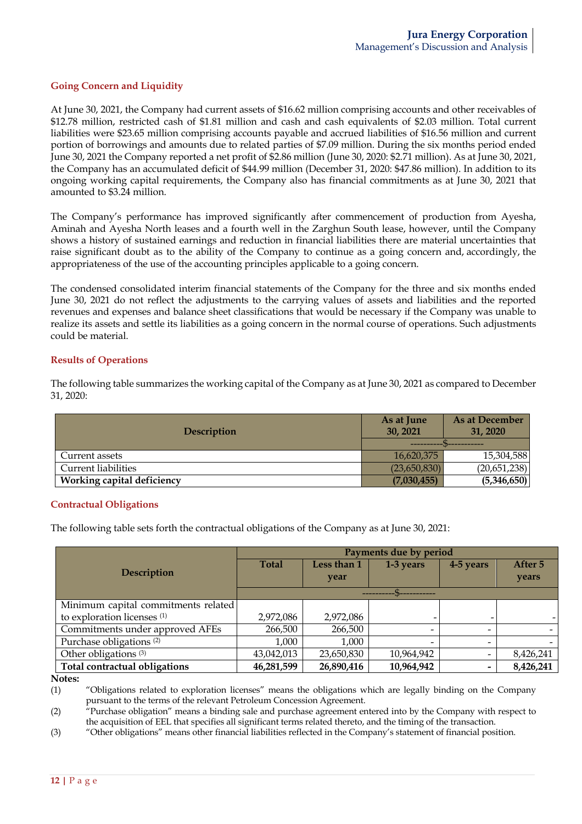## **Going Concern and Liquidity**

At June 30, 2021, the Company had current assets of \$16.62 million comprising accounts and other receivables of \$12.78 million, restricted cash of \$1.81 million and cash and cash equivalents of \$2.03 million. Total current liabilities were \$23.65 million comprising accounts payable and accrued liabilities of \$16.56 million and current portion of borrowings and amounts due to related parties of \$7.09 million. During the six months period ended June 30, 2021 the Company reported a net profit of \$2.86 million (June 30, 2020: \$2.71 million). As at June 30, 2021, the Company has an accumulated deficit of \$44.99 million (December 31, 2020: \$47.86 million). In addition to its ongoing working capital requirements, the Company also has financial commitments as at June 30, 2021 that amounted to \$3.24 million.

The Company's performance has improved significantly after commencement of production from Ayesha, Aminah and Ayesha North leases and a fourth well in the Zarghun South lease, however, until the Company shows a history of sustained earnings and reduction in financial liabilities there are material uncertainties that raise significant doubt as to the ability of the Company to continue as a going concern and, accordingly, the appropriateness of the use of the accounting principles applicable to a going concern.

The condensed consolidated interim financial statements of the Company for the three and six months ended June 30, 2021 do not reflect the adjustments to the carrying values of assets and liabilities and the reported revenues and expenses and balance sheet classifications that would be necessary if the Company was unable to realize its assets and settle its liabilities as a going concern in the normal course of operations. Such adjustments could be material.

### **Results of Operations**

The following table summarizes the working capital of the Company as at June 30, 2021 as compared to December 31, 2020:

| <b>Description</b>         | As at June<br>30, 2021 | As at December<br>31, 2020 |  |
|----------------------------|------------------------|----------------------------|--|
|                            | ----------             |                            |  |
| Current assets             | 16,620,375             | 15,304,588                 |  |
| <b>Current liabilities</b> | (23,650,830)           | (20,651,238)               |  |
| Working capital deficiency | (7,030,455)            | (5,346,650)                |  |

### **Contractual Obligations**

The following table sets forth the contractual obligations of the Company as at June 30, 2021:

|                                        | Payments due by period |             |                          |                          |           |  |  |
|----------------------------------------|------------------------|-------------|--------------------------|--------------------------|-----------|--|--|
|                                        | <b>Total</b>           | Less than 1 | 1-3 years                | 4-5 years                | After 5   |  |  |
| Description                            |                        | year        |                          |                          | years     |  |  |
|                                        |                        |             |                          |                          |           |  |  |
| Minimum capital commitments related    |                        |             |                          |                          |           |  |  |
| to exploration licenses <sup>(1)</sup> | 2,972,086              | 2,972,086   |                          |                          |           |  |  |
| Commitments under approved AFEs        | 266,500                | 266,500     | $\overline{\phantom{0}}$ | $\overline{\phantom{0}}$ |           |  |  |
| Purchase obligations <sup>(2)</sup>    | 1,000                  | 1,000       | $\overline{\phantom{0}}$ | $\overline{\phantom{0}}$ |           |  |  |
| Other obligations <sup>(3)</sup>       | 43,042,013             | 23,650,830  | 10,964,942               |                          | 8,426,241 |  |  |
| Total contractual obligations          | 46,281,599             | 26,890,416  | 10,964,942               |                          | 8,426,241 |  |  |

**Notes:**

(1) "Obligations related to exploration licenses" means the obligations which are legally binding on the Company pursuant to the terms of the relevant Petroleum Concession Agreement.

(2) "Purchase obligation" means a binding sale and purchase agreement entered into by the Company with respect to the acquisition of EEL that specifies all significant terms related thereto, and the timing of the transaction.

(3) "Other obligations" means other financial liabilities reflected in the Company's statement of financial position.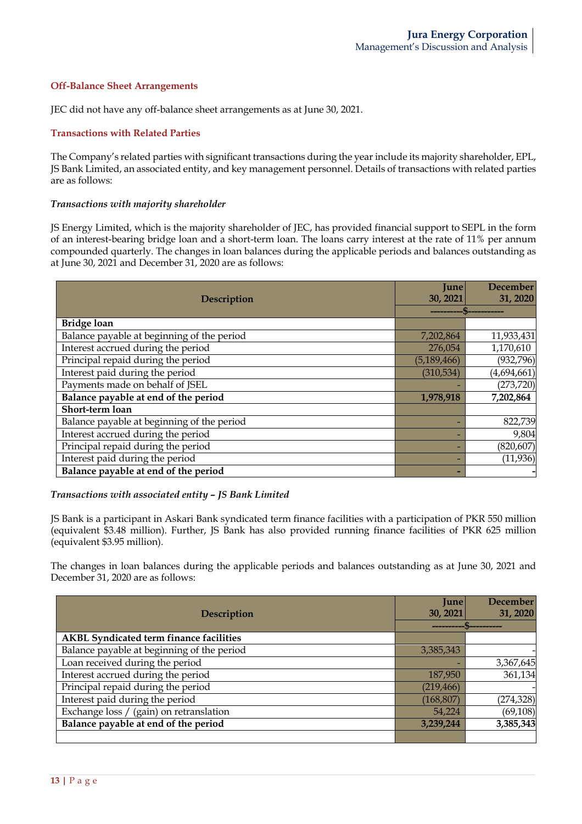### **Off-Balance Sheet Arrangements**

JEC did not have any off-balance sheet arrangements as at June 30, 2021.

### **Transactions with Related Parties**

The Company's related parties with significant transactions during the year include its majority shareholder, EPL, JS Bank Limited, an associated entity, and key management personnel. Details of transactions with related parties are as follows:

### *Transactions with majority shareholder*

JS Energy Limited, which is the majority shareholder of JEC, has provided financial support to SEPL in the form of an interest-bearing bridge loan and a short-term loan. The loans carry interest at the rate of 11% per annum compounded quarterly. The changes in loan balances during the applicable periods and balances outstanding as at June 30, 2021 and December 31, 2020 are as follows:

|                                            | <b>June</b>   | <b>December</b> |
|--------------------------------------------|---------------|-----------------|
| Description                                | 30, 2021      | 31, 2020        |
|                                            |               |                 |
| <b>Bridge loan</b>                         |               |                 |
| Balance payable at beginning of the period | 7,202,864     | 11,933,431      |
| Interest accrued during the period         | 276,054       | 1,170,610       |
| Principal repaid during the period         | (5, 189, 466) | (932, 796)      |
| Interest paid during the period            | (310, 534)    | (4,694,661)     |
| Payments made on behalf of JSEL            |               | (273, 720)      |
| Balance payable at end of the period       | 1,978,918     | 7,202,864       |
| Short-term loan                            |               |                 |
| Balance payable at beginning of the period |               | 822,739         |
| Interest accrued during the period         |               | 9,804           |
| Principal repaid during the period         |               | (820, 607)      |
| Interest paid during the period            |               | (11, 936)       |
| Balance payable at end of the period       |               |                 |

#### *Transactions with associated entity – JS Bank Limited*

JS Bank is a participant in Askari Bank syndicated term finance facilities with a participation of PKR 550 million (equivalent \$3.48 million). Further, JS Bank has also provided running finance facilities of PKR 625 million (equivalent \$3.95 million).

The changes in loan balances during the applicable periods and balances outstanding as at June 30, 2021 and December 31, 2020 are as follows:

|                                                | June       | <b>December</b> |
|------------------------------------------------|------------|-----------------|
| <b>Description</b>                             | 30, 2021   | 31, 2020        |
|                                                |            |                 |
| <b>AKBL Syndicated term finance facilities</b> |            |                 |
| Balance payable at beginning of the period     | 3,385,343  |                 |
| Loan received during the period                |            | 3,367,645       |
| Interest accrued during the period             | 187,950    | 361,134         |
| Principal repaid during the period             | (219, 466) |                 |
| Interest paid during the period                | (168, 807) | (274, 328)      |
| Exchange loss / (gain) on retranslation        | 54,224     | (69, 108)       |
| Balance payable at end of the period           | 3,239,244  | 3,385,343       |
|                                                |            |                 |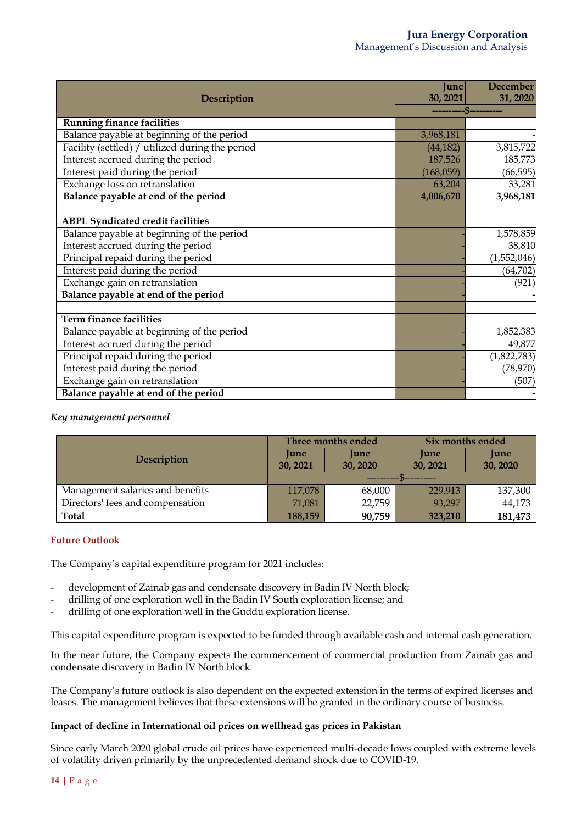### **Jura Energy Corporation** Management's Discussion and Analysis

|                                                 | <b>June</b> | <b>December</b> |
|-------------------------------------------------|-------------|-----------------|
| Description                                     | 30, 2021    | 31, 2020        |
|                                                 |             |                 |
| <b>Running finance facilities</b>               |             |                 |
| Balance payable at beginning of the period      | 3,968,181   |                 |
| Facility (settled) / utilized during the period | (44, 182)   | 3,815,722       |
| Interest accrued during the period              | 187,526     | 185,773         |
| Interest paid during the period                 | (168,059)   | (66, 595)       |
| Exchange loss on retranslation                  | 63,204      | 33,281          |
| Balance payable at end of the period            | 4,006,670   | 3,968,181       |
|                                                 |             |                 |
| <b>ABPL Syndicated credit facilities</b>        |             |                 |
| Balance payable at beginning of the period      |             | 1,578,859       |
| Interest accrued during the period              |             | 38,810          |
| Principal repaid during the period              |             | (1,552,046)     |
| Interest paid during the period                 |             | (64, 702)       |
| Exchange gain on retranslation                  |             | (921)           |
| Balance payable at end of the period            |             |                 |
|                                                 |             |                 |
| <b>Term finance facilities</b>                  |             |                 |
| Balance payable at beginning of the period      |             | 1,852,383       |
| Interest accrued during the period              |             | 49,877          |
| Principal repaid during the period              |             | (1,822,783)     |
| Interest paid during the period                 |             | (78, 970)       |
| Exchange gain on retranslation                  |             | (507)           |
| Balance payable at end of the period            |             |                 |

### *Key management personnel*

|                                  |                              | Three months ended      | Six months ended        |                         |  |  |
|----------------------------------|------------------------------|-------------------------|-------------------------|-------------------------|--|--|
| <b>Description</b>               | <b>June</b><br>30, 2021      | <b>June</b><br>30, 2020 | <b>June</b><br>30, 2021 | <b>June</b><br>30, 2020 |  |  |
|                                  | -----------------            |                         |                         |                         |  |  |
| Management salaries and benefits | 68,000<br>117,078<br>229,913 |                         |                         | 137,300                 |  |  |
| Directors' fees and compensation | 71,081                       | 22,759                  | 93,297                  | 44,173                  |  |  |
| <b>Total</b>                     | 188,159                      | 90,759                  | 323,210                 | 181,473                 |  |  |

### **Future Outlook**

The Company's capital expenditure program for 2021 includes:

- development of Zainab gas and condensate discovery in Badin IV North block;
- drilling of one exploration well in the Badin IV South exploration license; and
- drilling of one exploration well in the Guddu exploration license.

This capital expenditure program is expected to be funded through available cash and internal cash generation.

In the near future, the Company expects the commencement of commercial production from Zainab gas and condensate discovery in Badin IV North block.

The Company's future outlook is also dependent on the expected extension in the terms of expired licenses and leases. The management believes that these extensions will be granted in the ordinary course of business.

### **Impact of decline in International oil prices on wellhead gas prices in Pakistan**

Since early March 2020 global crude oil prices have experienced multi-decade lows coupled with extreme levels of volatility driven primarily by the unprecedented demand shock due to COVID-19.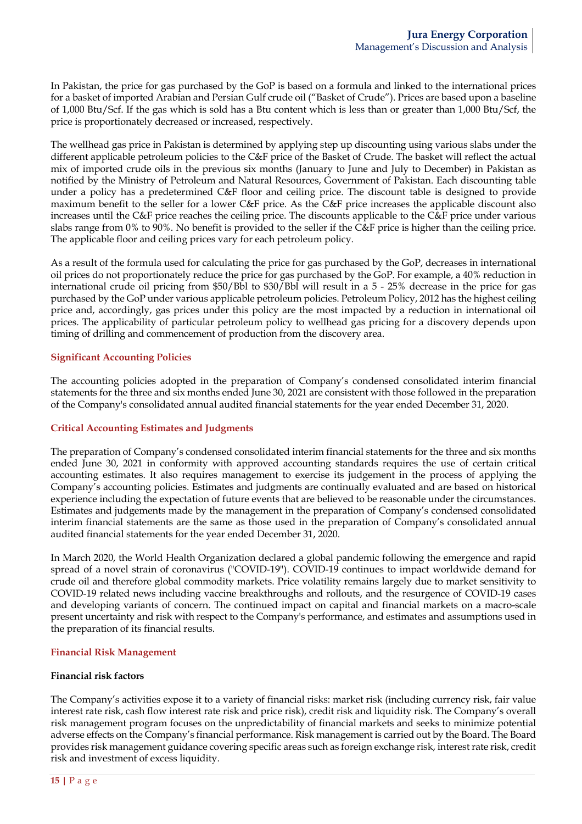In Pakistan, the price for gas purchased by the GoP is based on a formula and linked to the international prices for a basket of imported Arabian and Persian Gulf crude oil ("Basket of Crude"). Prices are based upon a baseline of 1,000 Btu/Scf. If the gas which is sold has a Btu content which is less than or greater than 1,000 Btu/Scf, the price is proportionately decreased or increased, respectively.

The wellhead gas price in Pakistan is determined by applying step up discounting using various slabs under the different applicable petroleum policies to the C&F price of the Basket of Crude. The basket will reflect the actual mix of imported crude oils in the previous six months (January to June and July to December) in Pakistan as notified by the Ministry of Petroleum and Natural Resources, Government of Pakistan. Each discounting table under a policy has a predetermined C&F floor and ceiling price. The discount table is designed to provide maximum benefit to the seller for a lower C&F price. As the C&F price increases the applicable discount also increases until the C&F price reaches the ceiling price. The discounts applicable to the C&F price under various slabs range from 0% to 90%. No benefit is provided to the seller if the C&F price is higher than the ceiling price. The applicable floor and ceiling prices vary for each petroleum policy.

As a result of the formula used for calculating the price for gas purchased by the GoP, decreases in international oil prices do not proportionately reduce the price for gas purchased by the GoP. For example, a 40% reduction in international crude oil pricing from \$50/Bbl to \$30/Bbl will result in a 5 - 25% decrease in the price for gas purchased by the GoP under various applicable petroleum policies. Petroleum Policy, 2012 has the highest ceiling price and, accordingly, gas prices under this policy are the most impacted by a reduction in international oil prices. The applicability of particular petroleum policy to wellhead gas pricing for a discovery depends upon timing of drilling and commencement of production from the discovery area.

### **Significant Accounting Policies**

The accounting policies adopted in the preparation of Company's condensed consolidated interim financial statements for the three and six months ended June 30, 2021 are consistent with those followed in the preparation of the Company's consolidated annual audited financial statements for the year ended December 31, 2020.

### **Critical Accounting Estimates and Judgments**

The preparation of Company's condensed consolidated interim financial statements for the three and six months ended June 30, 2021 in conformity with approved accounting standards requires the use of certain critical accounting estimates. It also requires management to exercise its judgement in the process of applying the Company's accounting policies. Estimates and judgments are continually evaluated and are based on historical experience including the expectation of future events that are believed to be reasonable under the circumstances. Estimates and judgements made by the management in the preparation of Company's condensed consolidated interim financial statements are the same as those used in the preparation of Company's consolidated annual audited financial statements for the year ended December 31, 2020.

In March 2020, the World Health Organization declared a global pandemic following the emergence and rapid spread of a novel strain of coronavirus ("COVID-19"). COVID-19 continues to impact worldwide demand for crude oil and therefore global commodity markets. Price volatility remains largely due to market sensitivity to COVID-19 related news including vaccine breakthroughs and rollouts, and the resurgence of COVID-19 cases and developing variants of concern. The continued impact on capital and financial markets on a macro-scale present uncertainty and risk with respect to the Company's performance, and estimates and assumptions used in the preparation of its financial results.

### **Financial Risk Management**

### **Financial risk factors**

The Company's activities expose it to a variety of financial risks: market risk (including currency risk, fair value interest rate risk, cash flow interest rate risk and price risk), credit risk and liquidity risk. The Company's overall risk management program focuses on the unpredictability of financial markets and seeks to minimize potential adverse effects on the Company's financial performance. Risk management is carried out by the Board. The Board provides risk management guidance covering specific areas such as foreign exchange risk, interest rate risk, credit risk and investment of excess liquidity.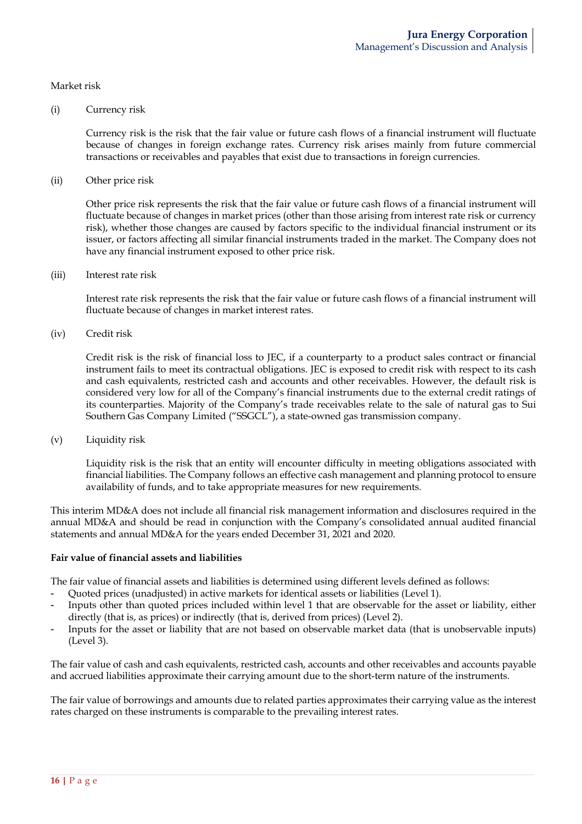### Market risk

#### (i) Currency risk

Currency risk is the risk that the fair value or future cash flows of a financial instrument will fluctuate because of changes in foreign exchange rates. Currency risk arises mainly from future commercial transactions or receivables and payables that exist due to transactions in foreign currencies.

(ii) Other price risk

Other price risk represents the risk that the fair value or future cash flows of a financial instrument will fluctuate because of changes in market prices (other than those arising from interest rate risk or currency risk), whether those changes are caused by factors specific to the individual financial instrument or its issuer, or factors affecting all similar financial instruments traded in the market. The Company does not have any financial instrument exposed to other price risk.

(iii) Interest rate risk

Interest rate risk represents the risk that the fair value or future cash flows of a financial instrument will fluctuate because of changes in market interest rates.

(iv) Credit risk

Credit risk is the risk of financial loss to JEC, if a counterparty to a product sales contract or financial instrument fails to meet its contractual obligations. JEC is exposed to credit risk with respect to its cash and cash equivalents, restricted cash and accounts and other receivables. However, the default risk is considered very low for all of the Company's financial instruments due to the external credit ratings of its counterparties. Majority of the Company's trade receivables relate to the sale of natural gas to Sui Southern Gas Company Limited ("SSGCL"), a state-owned gas transmission company.

(v) Liquidity risk

Liquidity risk is the risk that an entity will encounter difficulty in meeting obligations associated with financial liabilities. The Company follows an effective cash management and planning protocol to ensure availability of funds, and to take appropriate measures for new requirements.

This interim MD&A does not include all financial risk management information and disclosures required in the annual MD&A and should be read in conjunction with the Company's consolidated annual audited financial statements and annual MD&A for the years ended December 31, 2021 and 2020.

#### **Fair value of financial assets and liabilities**

The fair value of financial assets and liabilities is determined using different levels defined as follows:

- Quoted prices (unadjusted) in active markets for identical assets or liabilities (Level 1).
- Inputs other than quoted prices included within level 1 that are observable for the asset or liability, either directly (that is, as prices) or indirectly (that is, derived from prices) (Level 2).
- Inputs for the asset or liability that are not based on observable market data (that is unobservable inputs) (Level 3).

The fair value of cash and cash equivalents, restricted cash, accounts and other receivables and accounts payable and accrued liabilities approximate their carrying amount due to the short-term nature of the instruments.

The fair value of borrowings and amounts due to related parties approximates their carrying value as the interest rates charged on these instruments is comparable to the prevailing interest rates.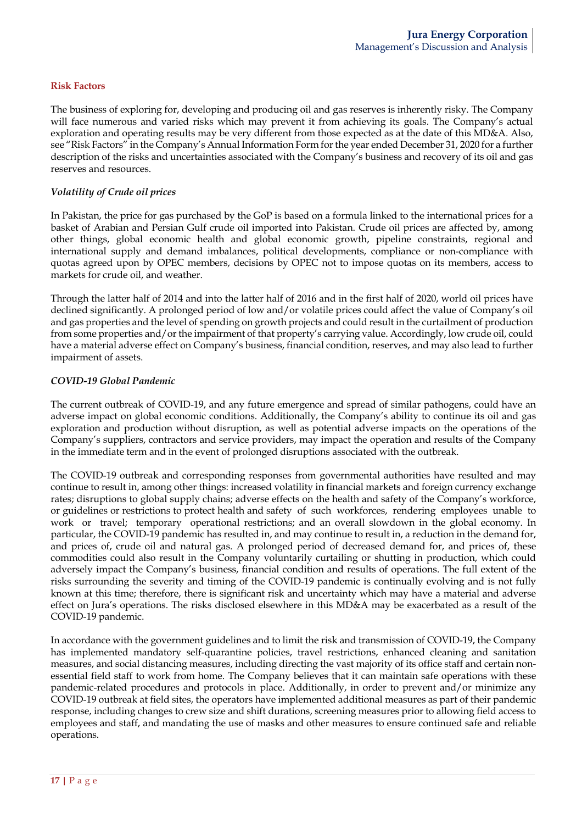### **Risk Factors**

The business of exploring for, developing and producing oil and gas reserves is inherently risky. The Company will face numerous and varied risks which may prevent it from achieving its goals. The Company's actual exploration and operating results may be very different from those expected as at the date of this MD&A. Also, see "Risk Factors" in the Company's Annual Information Form for the year ended December 31, 2020 for a further description of the risks and uncertainties associated with the Company's business and recovery of its oil and gas reserves and resources.

### *Volatility of Crude oil prices*

In Pakistan, the price for gas purchased by the GoP is based on a formula linked to the international prices for a basket of Arabian and Persian Gulf crude oil imported into Pakistan. Crude oil prices are affected by, among other things, global economic health and global economic growth, pipeline constraints, regional and international supply and demand imbalances, political developments, compliance or non-compliance with quotas agreed upon by OPEC members, decisions by OPEC not to impose quotas on its members, access to markets for crude oil, and weather.

Through the latter half of 2014 and into the latter half of 2016 and in the first half of 2020, world oil prices have declined significantly. A prolonged period of low and/or volatile prices could affect the value of Company's oil and gas properties and the level of spending on growth projects and could result in the curtailment of production from some properties and/or the impairment of that property's carrying value. Accordingly, low crude oil, could have a material adverse effect on Company's business, financial condition, reserves, and may also lead to further impairment of assets.

### *COVID-19 Global Pandemic*

The current outbreak of COVID-19, and any future emergence and spread of similar pathogens, could have an adverse impact on global economic conditions. Additionally, the Company's ability to continue its oil and gas exploration and production without disruption, as well as potential adverse impacts on the operations of the Company's suppliers, contractors and service providers, may impact the operation and results of the Company in the immediate term and in the event of prolonged disruptions associated with the outbreak.

The COVID-19 outbreak and corresponding responses from governmental authorities have resulted and may continue to result in, among other things: increased volatility in financial markets and foreign currency exchange rates; disruptions to global supply chains; adverse effects on the health and safety of the Company's workforce, or guidelines or restrictions to protect health and safety of such workforces, rendering employees unable to work or travel; temporary operational restrictions; and an overall slowdown in the global economy. In particular, the COVID-19 pandemic has resulted in, and may continue to result in, a reduction in the demand for, and prices of, crude oil and natural gas. A prolonged period of decreased demand for, and prices of, these commodities could also result in the Company voluntarily curtailing or shutting in production, which could adversely impact the Company's business, financial condition and results of operations. The full extent of the risks surrounding the severity and timing of the COVID-19 pandemic is continually evolving and is not fully known at this time; therefore, there is significant risk and uncertainty which may have a material and adverse effect on Jura's operations. The risks disclosed elsewhere in this MD&A may be exacerbated as a result of the COVID-19 pandemic.

In accordance with the government guidelines and to limit the risk and transmission of COVID-19, the Company has implemented mandatory self-quarantine policies, travel restrictions, enhanced cleaning and sanitation measures, and social distancing measures, including directing the vast majority of its office staff and certain nonessential field staff to work from home. The Company believes that it can maintain safe operations with these pandemic-related procedures and protocols in place. Additionally, in order to prevent and/or minimize any COVID-19 outbreak at field sites, the operators have implemented additional measures as part of their pandemic response, including changes to crew size and shift durations, screening measures prior to allowing field access to employees and staff, and mandating the use of masks and other measures to ensure continued safe and reliable operations.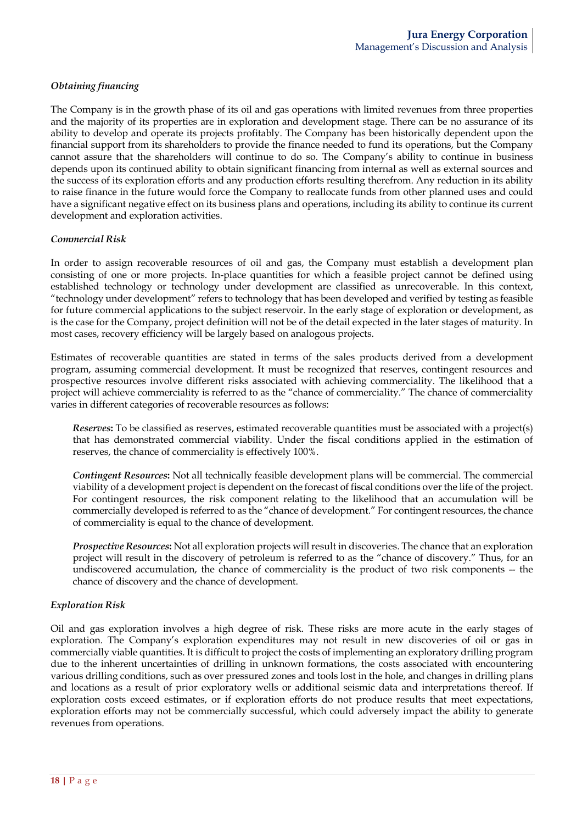### *Obtaining financing*

The Company is in the growth phase of its oil and gas operations with limited revenues from three properties and the majority of its properties are in exploration and development stage. There can be no assurance of its ability to develop and operate its projects profitably. The Company has been historically dependent upon the financial support from its shareholders to provide the finance needed to fund its operations, but the Company cannot assure that the shareholders will continue to do so. The Company's ability to continue in business depends upon its continued ability to obtain significant financing from internal as well as external sources and the success of its exploration efforts and any production efforts resulting therefrom. Any reduction in its ability to raise finance in the future would force the Company to reallocate funds from other planned uses and could have a significant negative effect on its business plans and operations, including its ability to continue its current development and exploration activities.

### *Commercial Risk*

In order to assign recoverable resources of oil and gas, the Company must establish a development plan consisting of one or more projects. In-place quantities for which a feasible project cannot be defined using established technology or technology under development are classified as unrecoverable. In this context, "technology under development" refers to technology that has been developed and verified by testing as feasible for future commercial applications to the subject reservoir. In the early stage of exploration or development, as is the case for the Company, project definition will not be of the detail expected in the later stages of maturity. In most cases, recovery efficiency will be largely based on analogous projects.

Estimates of recoverable quantities are stated in terms of the sales products derived from a development program, assuming commercial development. It must be recognized that reserves, contingent resources and prospective resources involve different risks associated with achieving commerciality. The likelihood that a project will achieve commerciality is referred to as the "chance of commerciality." The chance of commerciality varies in different categories of recoverable resources as follows:

*Reserves***:** To be classified as reserves, estimated recoverable quantities must be associated with a project(s) that has demonstrated commercial viability. Under the fiscal conditions applied in the estimation of reserves, the chance of commerciality is effectively 100%.

*Contingent Resources***:** Not all technically feasible development plans will be commercial. The commercial viability of a development project is dependent on the forecast of fiscal conditions over the life of the project. For contingent resources, the risk component relating to the likelihood that an accumulation will be commercially developed is referred to as the "chance of development." For contingent resources, the chance of commerciality is equal to the chance of development.

*Prospective Resources***:** Not all exploration projects will result in discoveries. The chance that an exploration project will result in the discovery of petroleum is referred to as the "chance of discovery." Thus, for an undiscovered accumulation, the chance of commerciality is the product of two risk components -- the chance of discovery and the chance of development.

### *Exploration Risk*

Oil and gas exploration involves a high degree of risk. These risks are more acute in the early stages of exploration. The Company's exploration expenditures may not result in new discoveries of oil or gas in commercially viable quantities. It is difficult to project the costs of implementing an exploratory drilling program due to the inherent uncertainties of drilling in unknown formations, the costs associated with encountering various drilling conditions, such as over pressured zones and tools lost in the hole, and changes in drilling plans and locations as a result of prior exploratory wells or additional seismic data and interpretations thereof. If exploration costs exceed estimates, or if exploration efforts do not produce results that meet expectations, exploration efforts may not be commercially successful, which could adversely impact the ability to generate revenues from operations.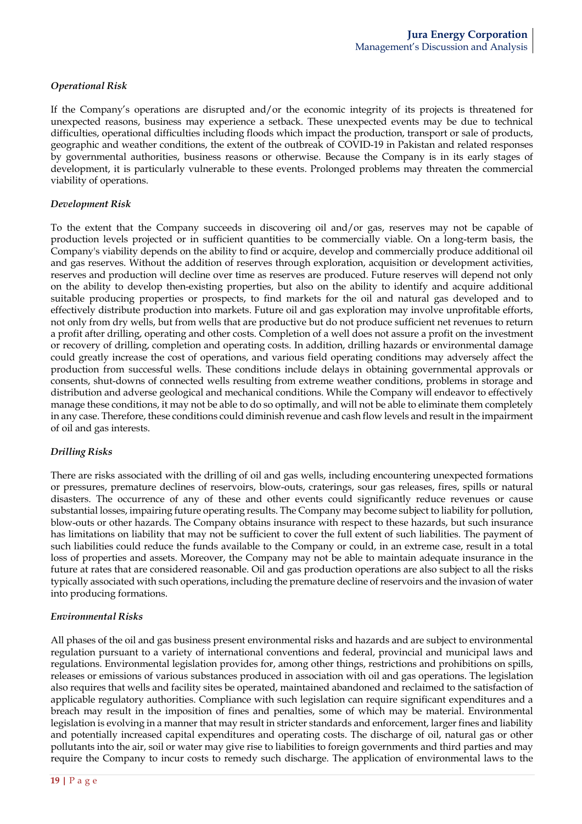### *Operational Risk*

If the Company's operations are disrupted and/or the economic integrity of its projects is threatened for unexpected reasons, business may experience a setback. These unexpected events may be due to technical difficulties, operational difficulties including floods which impact the production, transport or sale of products, geographic and weather conditions, the extent of the outbreak of COVID-19 in Pakistan and related responses by governmental authorities, business reasons or otherwise. Because the Company is in its early stages of development, it is particularly vulnerable to these events. Prolonged problems may threaten the commercial viability of operations.

### *Development Risk*

To the extent that the Company succeeds in discovering oil and/or gas, reserves may not be capable of production levels projected or in sufficient quantities to be commercially viable. On a long-term basis, the Company's viability depends on the ability to find or acquire, develop and commercially produce additional oil and gas reserves. Without the addition of reserves through exploration, acquisition or development activities, reserves and production will decline over time as reserves are produced. Future reserves will depend not only on the ability to develop then-existing properties, but also on the ability to identify and acquire additional suitable producing properties or prospects, to find markets for the oil and natural gas developed and to effectively distribute production into markets. Future oil and gas exploration may involve unprofitable efforts, not only from dry wells, but from wells that are productive but do not produce sufficient net revenues to return a profit after drilling, operating and other costs. Completion of a well does not assure a profit on the investment or recovery of drilling, completion and operating costs. In addition, drilling hazards or environmental damage could greatly increase the cost of operations, and various field operating conditions may adversely affect the production from successful wells. These conditions include delays in obtaining governmental approvals or consents, shut-downs of connected wells resulting from extreme weather conditions, problems in storage and distribution and adverse geological and mechanical conditions. While the Company will endeavor to effectively manage these conditions, it may not be able to do so optimally, and will not be able to eliminate them completely in any case. Therefore, these conditions could diminish revenue and cash flow levels and result in the impairment of oil and gas interests.

### *Drilling Risks*

There are risks associated with the drilling of oil and gas wells, including encountering unexpected formations or pressures, premature declines of reservoirs, blow-outs, craterings, sour gas releases, fires, spills or natural disasters. The occurrence of any of these and other events could significantly reduce revenues or cause substantial losses, impairing future operating results. The Company may become subject to liability for pollution, blow-outs or other hazards. The Company obtains insurance with respect to these hazards, but such insurance has limitations on liability that may not be sufficient to cover the full extent of such liabilities. The payment of such liabilities could reduce the funds available to the Company or could, in an extreme case, result in a total loss of properties and assets. Moreover, the Company may not be able to maintain adequate insurance in the future at rates that are considered reasonable. Oil and gas production operations are also subject to all the risks typically associated with such operations, including the premature decline of reservoirs and the invasion of water into producing formations.

### *Environmental Risks*

All phases of the oil and gas business present environmental risks and hazards and are subject to environmental regulation pursuant to a variety of international conventions and federal, provincial and municipal laws and regulations. Environmental legislation provides for, among other things, restrictions and prohibitions on spills, releases or emissions of various substances produced in association with oil and gas operations. The legislation also requires that wells and facility sites be operated, maintained abandoned and reclaimed to the satisfaction of applicable regulatory authorities. Compliance with such legislation can require significant expenditures and a breach may result in the imposition of fines and penalties, some of which may be material. Environmental legislation is evolving in a manner that may result in stricter standards and enforcement, larger fines and liability and potentially increased capital expenditures and operating costs. The discharge of oil, natural gas or other pollutants into the air, soil or water may give rise to liabilities to foreign governments and third parties and may require the Company to incur costs to remedy such discharge. The application of environmental laws to the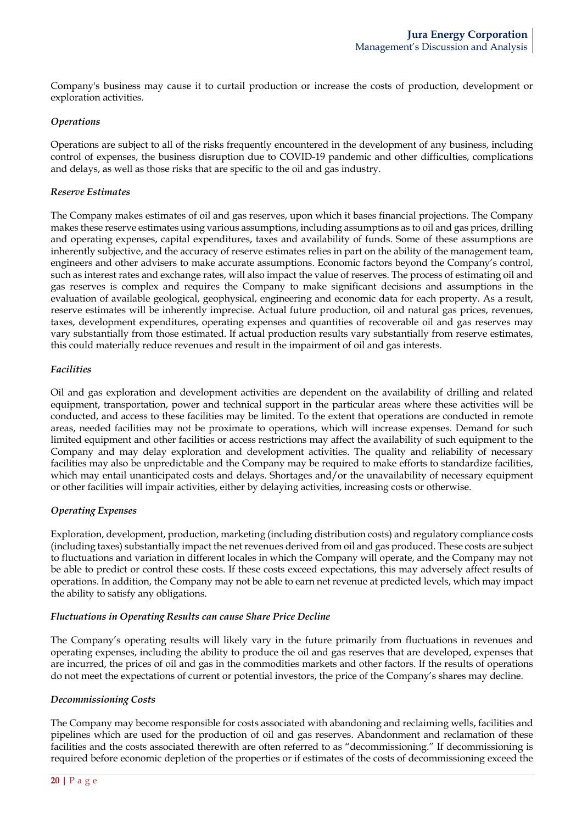Company's business may cause it to curtail production or increase the costs of production, development or exploration activities.

### *Operations*

Operations are subject to all of the risks frequently encountered in the development of any business, including control of expenses, the business disruption due to COVID-19 pandemic and other difficulties, complications and delays, as well as those risks that are specific to the oil and gas industry.

### *Reserve Estimates*

The Company makes estimates of oil and gas reserves, upon which it bases financial projections. The Company makes these reserve estimates using various assumptions, including assumptions as to oil and gas prices, drilling and operating expenses, capital expenditures, taxes and availability of funds. Some of these assumptions are inherently subjective, and the accuracy of reserve estimates relies in part on the ability of the management team, engineers and other advisers to make accurate assumptions. Economic factors beyond the Company's control, such as interest rates and exchange rates, will also impact the value of reserves. The process of estimating oil and gas reserves is complex and requires the Company to make significant decisions and assumptions in the evaluation of available geological, geophysical, engineering and economic data for each property. As a result, reserve estimates will be inherently imprecise. Actual future production, oil and natural gas prices, revenues, taxes, development expenditures, operating expenses and quantities of recoverable oil and gas reserves may vary substantially from those estimated. If actual production results vary substantially from reserve estimates, this could materially reduce revenues and result in the impairment of oil and gas interests.

### *Facilities*

Oil and gas exploration and development activities are dependent on the availability of drilling and related equipment, transportation, power and technical support in the particular areas where these activities will be conducted, and access to these facilities may be limited. To the extent that operations are conducted in remote areas, needed facilities may not be proximate to operations, which will increase expenses. Demand for such limited equipment and other facilities or access restrictions may affect the availability of such equipment to the Company and may delay exploration and development activities. The quality and reliability of necessary facilities may also be unpredictable and the Company may be required to make efforts to standardize facilities, which may entail unanticipated costs and delays. Shortages and/or the unavailability of necessary equipment or other facilities will impair activities, either by delaying activities, increasing costs or otherwise.

### *Operating Expenses*

Exploration, development, production, marketing (including distribution costs) and regulatory compliance costs (including taxes) substantially impact the net revenues derived from oil and gas produced. These costs are subject to fluctuations and variation in different locales in which the Company will operate, and the Company may not be able to predict or control these costs. If these costs exceed expectations, this may adversely affect results of operations. In addition, the Company may not be able to earn net revenue at predicted levels, which may impact the ability to satisfy any obligations.

#### *Fluctuations in Operating Results can cause Share Price Decline*

The Company's operating results will likely vary in the future primarily from fluctuations in revenues and operating expenses, including the ability to produce the oil and gas reserves that are developed, expenses that are incurred, the prices of oil and gas in the commodities markets and other factors. If the results of operations do not meet the expectations of current or potential investors, the price of the Company's shares may decline.

#### *Decommissioning Costs*

The Company may become responsible for costs associated with abandoning and reclaiming wells, facilities and pipelines which are used for the production of oil and gas reserves. Abandonment and reclamation of these facilities and the costs associated therewith are often referred to as "decommissioning." If decommissioning is required before economic depletion of the properties or if estimates of the costs of decommissioning exceed the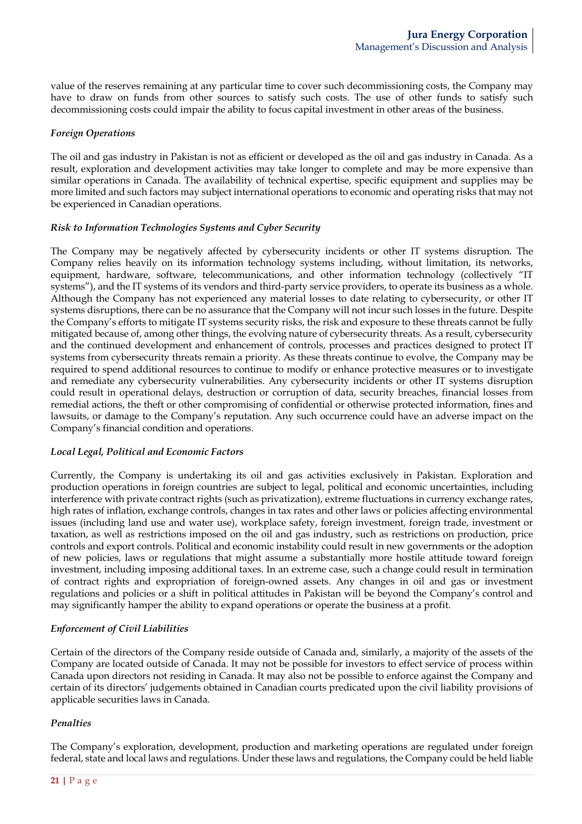value of the reserves remaining at any particular time to cover such decommissioning costs, the Company may have to draw on funds from other sources to satisfy such costs. The use of other funds to satisfy such decommissioning costs could impair the ability to focus capital investment in other areas of the business.

### *Foreign Operations*

The oil and gas industry in Pakistan is not as efficient or developed as the oil and gas industry in Canada. As a result, exploration and development activities may take longer to complete and may be more expensive than similar operations in Canada. The availability of technical expertise, specific equipment and supplies may be more limited and such factors may subject international operations to economic and operating risks that may not be experienced in Canadian operations.

### *Risk to Information Technologies Systems and Cyber Security*

The Company may be negatively affected by cybersecurity incidents or other IT systems disruption. The Company relies heavily on its information technology systems including, without limitation, its networks, equipment, hardware, software, telecommunications, and other information technology (collectively "IT systems"), and the IT systems of its vendors and third-party service providers, to operate its business as a whole. Although the Company has not experienced any material losses to date relating to cybersecurity, or other IT systems disruptions, there can be no assurance that the Company will not incur such losses in the future. Despite the Company's efforts to mitigate IT systems security risks, the risk and exposure to these threats cannot be fully mitigated because of, among other things, the evolving nature of cybersecurity threats. As a result, cybersecurity and the continued development and enhancement of controls, processes and practices designed to protect IT systems from cybersecurity threats remain a priority. As these threats continue to evolve, the Company may be required to spend additional resources to continue to modify or enhance protective measures or to investigate and remediate any cybersecurity vulnerabilities. Any cybersecurity incidents or other IT systems disruption could result in operational delays, destruction or corruption of data, security breaches, financial losses from remedial actions, the theft or other compromising of confidential or otherwise protected information, fines and lawsuits, or damage to the Company's reputation. Any such occurrence could have an adverse impact on the Company's financial condition and operations.

### *Local Legal, Political and Economic Factors*

Currently, the Company is undertaking its oil and gas activities exclusively in Pakistan. Exploration and production operations in foreign countries are subject to legal, political and economic uncertainties, including interference with private contract rights (such as privatization), extreme fluctuations in currency exchange rates, high rates of inflation, exchange controls, changes in tax rates and other laws or policies affecting environmental issues (including land use and water use), workplace safety, foreign investment, foreign trade, investment or taxation, as well as restrictions imposed on the oil and gas industry, such as restrictions on production, price controls and export controls. Political and economic instability could result in new governments or the adoption of new policies, laws or regulations that might assume a substantially more hostile attitude toward foreign investment, including imposing additional taxes. In an extreme case, such a change could result in termination of contract rights and expropriation of foreign-owned assets. Any changes in oil and gas or investment regulations and policies or a shift in political attitudes in Pakistan will be beyond the Company's control and may significantly hamper the ability to expand operations or operate the business at a profit.

### *Enforcement of Civil Liabilities*

Certain of the directors of the Company reside outside of Canada and, similarly, a majority of the assets of the Company are located outside of Canada. It may not be possible for investors to effect service of process within Canada upon directors not residing in Canada. It may also not be possible to enforce against the Company and certain of its directors' judgements obtained in Canadian courts predicated upon the civil liability provisions of applicable securities laws in Canada.

### *Penalties*

The Company's exploration, development, production and marketing operations are regulated under foreign federal, state and local laws and regulations. Under these laws and regulations, the Company could be held liable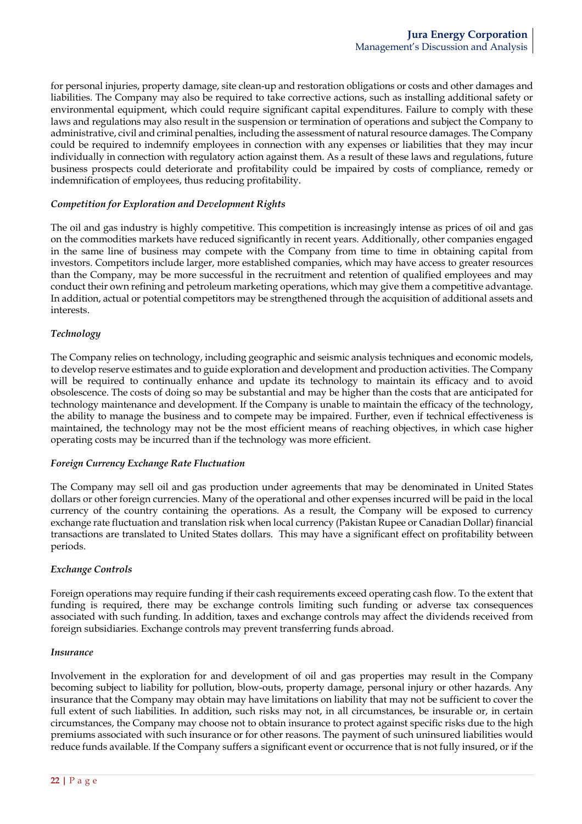for personal injuries, property damage, site clean-up and restoration obligations or costs and other damages and liabilities. The Company may also be required to take corrective actions, such as installing additional safety or environmental equipment, which could require significant capital expenditures. Failure to comply with these laws and regulations may also result in the suspension or termination of operations and subject the Company to administrative, civil and criminal penalties, including the assessment of natural resource damages. The Company could be required to indemnify employees in connection with any expenses or liabilities that they may incur individually in connection with regulatory action against them. As a result of these laws and regulations, future business prospects could deteriorate and profitability could be impaired by costs of compliance, remedy or indemnification of employees, thus reducing profitability.

### *Competition for Exploration and Development Rights*

The oil and gas industry is highly competitive. This competition is increasingly intense as prices of oil and gas on the commodities markets have reduced significantly in recent years. Additionally, other companies engaged in the same line of business may compete with the Company from time to time in obtaining capital from investors. Competitors include larger, more established companies, which may have access to greater resources than the Company, may be more successful in the recruitment and retention of qualified employees and may conduct their own refining and petroleum marketing operations, which may give them a competitive advantage. In addition, actual or potential competitors may be strengthened through the acquisition of additional assets and interests.

## *Technology*

The Company relies on technology, including geographic and seismic analysis techniques and economic models, to develop reserve estimates and to guide exploration and development and production activities. The Company will be required to continually enhance and update its technology to maintain its efficacy and to avoid obsolescence. The costs of doing so may be substantial and may be higher than the costs that are anticipated for technology maintenance and development. If the Company is unable to maintain the efficacy of the technology, the ability to manage the business and to compete may be impaired. Further, even if technical effectiveness is maintained, the technology may not be the most efficient means of reaching objectives, in which case higher operating costs may be incurred than if the technology was more efficient.

### *Foreign Currency Exchange Rate Fluctuation*

The Company may sell oil and gas production under agreements that may be denominated in United States dollars or other foreign currencies. Many of the operational and other expenses incurred will be paid in the local currency of the country containing the operations. As a result, the Company will be exposed to currency exchange rate fluctuation and translation risk when local currency (Pakistan Rupee or Canadian Dollar) financial transactions are translated to United States dollars. This may have a significant effect on profitability between periods.

### *Exchange Controls*

Foreign operations may require funding if their cash requirements exceed operating cash flow. To the extent that funding is required, there may be exchange controls limiting such funding or adverse tax consequences associated with such funding. In addition, taxes and exchange controls may affect the dividends received from foreign subsidiaries. Exchange controls may prevent transferring funds abroad.

#### *Insurance*

Involvement in the exploration for and development of oil and gas properties may result in the Company becoming subject to liability for pollution, blow-outs, property damage, personal injury or other hazards. Any insurance that the Company may obtain may have limitations on liability that may not be sufficient to cover the full extent of such liabilities. In addition, such risks may not, in all circumstances, be insurable or, in certain circumstances, the Company may choose not to obtain insurance to protect against specific risks due to the high premiums associated with such insurance or for other reasons. The payment of such uninsured liabilities would reduce funds available. If the Company suffers a significant event or occurrence that is not fully insured, or if the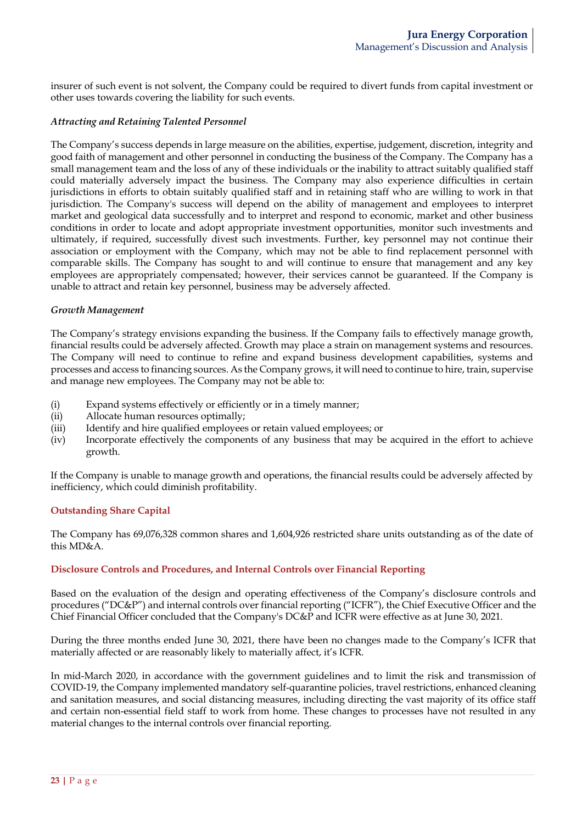insurer of such event is not solvent, the Company could be required to divert funds from capital investment or other uses towards covering the liability for such events.

### *Attracting and Retaining Talented Personnel*

The Company's success depends in large measure on the abilities, expertise, judgement, discretion, integrity and good faith of management and other personnel in conducting the business of the Company. The Company has a small management team and the loss of any of these individuals or the inability to attract suitably qualified staff could materially adversely impact the business. The Company may also experience difficulties in certain jurisdictions in efforts to obtain suitably qualified staff and in retaining staff who are willing to work in that jurisdiction. The Company's success will depend on the ability of management and employees to interpret market and geological data successfully and to interpret and respond to economic, market and other business conditions in order to locate and adopt appropriate investment opportunities, monitor such investments and ultimately, if required, successfully divest such investments. Further, key personnel may not continue their association or employment with the Company, which may not be able to find replacement personnel with comparable skills. The Company has sought to and will continue to ensure that management and any key employees are appropriately compensated; however, their services cannot be guaranteed. If the Company is unable to attract and retain key personnel, business may be adversely affected.

### *Growth Management*

The Company's strategy envisions expanding the business. If the Company fails to effectively manage growth, financial results could be adversely affected. Growth may place a strain on management systems and resources. The Company will need to continue to refine and expand business development capabilities, systems and processes and access to financing sources. As the Company grows, it will need to continue to hire, train, supervise and manage new employees. The Company may not be able to:

- (i) Expand systems effectively or efficiently or in a timely manner;
- (ii) Allocate human resources optimally;
- (iii) Identify and hire qualified employees or retain valued employees; or
- (iv) Incorporate effectively the components of any business that may be acquired in the effort to achieve growth.

If the Company is unable to manage growth and operations, the financial results could be adversely affected by inefficiency, which could diminish profitability.

### **Outstanding Share Capital**

The Company has 69,076,328 common shares and 1,604,926 restricted share units outstanding as of the date of this MD&A.

### **Disclosure Controls and Procedures, and Internal Controls over Financial Reporting**

Based on the evaluation of the design and operating effectiveness of the Company's disclosure controls and procedures ("DC&P") and internal controls over financial reporting ("ICFR"), the Chief Executive Officer and the Chief Financial Officer concluded that the Company's DC&P and ICFR were effective as at June 30, 2021.

During the three months ended June 30, 2021, there have been no changes made to the Company's ICFR that materially affected or are reasonably likely to materially affect, it's ICFR.

In mid-March 2020, in accordance with the government guidelines and to limit the risk and transmission of COVID-19, the Company implemented mandatory self-quarantine policies, travel restrictions, enhanced cleaning and sanitation measures, and social distancing measures, including directing the vast majority of its office staff and certain non-essential field staff to work from home. These changes to processes have not resulted in any material changes to the internal controls over financial reporting.